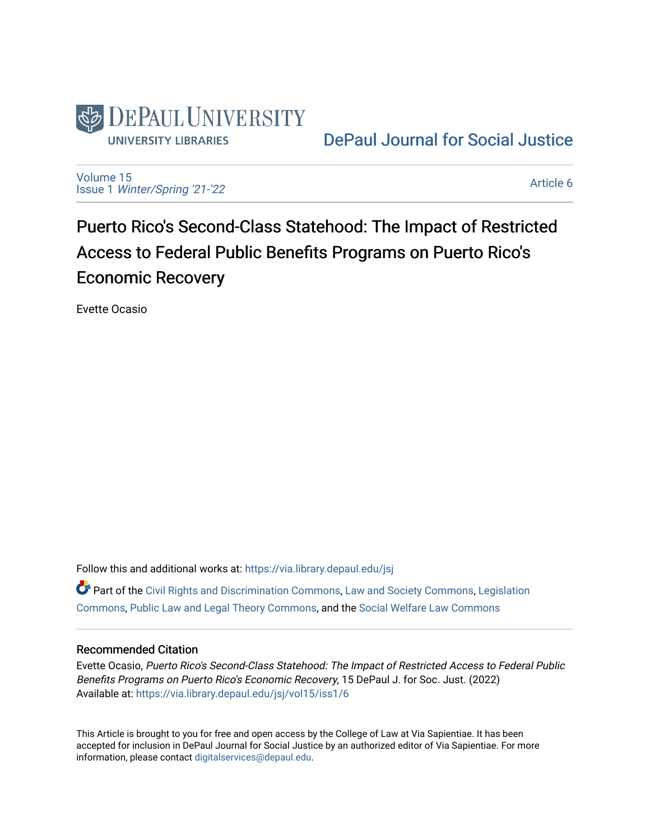

[DePaul Journal for Social Justice](https://via.library.depaul.edu/jsj) 

[Volume 15](https://via.library.depaul.edu/jsj/vol15) Issue 1 [Winter/Spring '21-'22](https://via.library.depaul.edu/jsj/vol15/iss1) 

[Article 6](https://via.library.depaul.edu/jsj/vol15/iss1/6) 

Puerto Rico's Second-Class Statehood: The Impact of Restricted Access to Federal Public Benefits Programs on Puerto Rico's Economic Recovery

Evette Ocasio

Follow this and additional works at: [https://via.library.depaul.edu/jsj](https://via.library.depaul.edu/jsj?utm_source=via.library.depaul.edu%2Fjsj%2Fvol15%2Fiss1%2F6&utm_medium=PDF&utm_campaign=PDFCoverPages) 

Part of the [Civil Rights and Discrimination Commons,](https://network.bepress.com/hgg/discipline/585?utm_source=via.library.depaul.edu%2Fjsj%2Fvol15%2Fiss1%2F6&utm_medium=PDF&utm_campaign=PDFCoverPages) [Law and Society Commons](https://network.bepress.com/hgg/discipline/853?utm_source=via.library.depaul.edu%2Fjsj%2Fvol15%2Fiss1%2F6&utm_medium=PDF&utm_campaign=PDFCoverPages), [Legislation](https://network.bepress.com/hgg/discipline/859?utm_source=via.library.depaul.edu%2Fjsj%2Fvol15%2Fiss1%2F6&utm_medium=PDF&utm_campaign=PDFCoverPages) [Commons](https://network.bepress.com/hgg/discipline/859?utm_source=via.library.depaul.edu%2Fjsj%2Fvol15%2Fiss1%2F6&utm_medium=PDF&utm_campaign=PDFCoverPages), [Public Law and Legal Theory Commons](https://network.bepress.com/hgg/discipline/871?utm_source=via.library.depaul.edu%2Fjsj%2Fvol15%2Fiss1%2F6&utm_medium=PDF&utm_campaign=PDFCoverPages), and the [Social Welfare Law Commons](https://network.bepress.com/hgg/discipline/878?utm_source=via.library.depaul.edu%2Fjsj%2Fvol15%2Fiss1%2F6&utm_medium=PDF&utm_campaign=PDFCoverPages)

### Recommended Citation

Evette Ocasio, Puerto Rico's Second-Class Statehood: The Impact of Restricted Access to Federal Public Benefits Programs on Puerto Rico's Economic Recovery, 15 DePaul J. for Soc. Just. (2022) Available at: [https://via.library.depaul.edu/jsj/vol15/iss1/6](https://via.library.depaul.edu/jsj/vol15/iss1/6?utm_source=via.library.depaul.edu%2Fjsj%2Fvol15%2Fiss1%2F6&utm_medium=PDF&utm_campaign=PDFCoverPages) 

This Article is brought to you for free and open access by the College of Law at Via Sapientiae. It has been accepted for inclusion in DePaul Journal for Social Justice by an authorized editor of Via Sapientiae. For more information, please contact [digitalservices@depaul.edu](mailto:digitalservices@depaul.edu).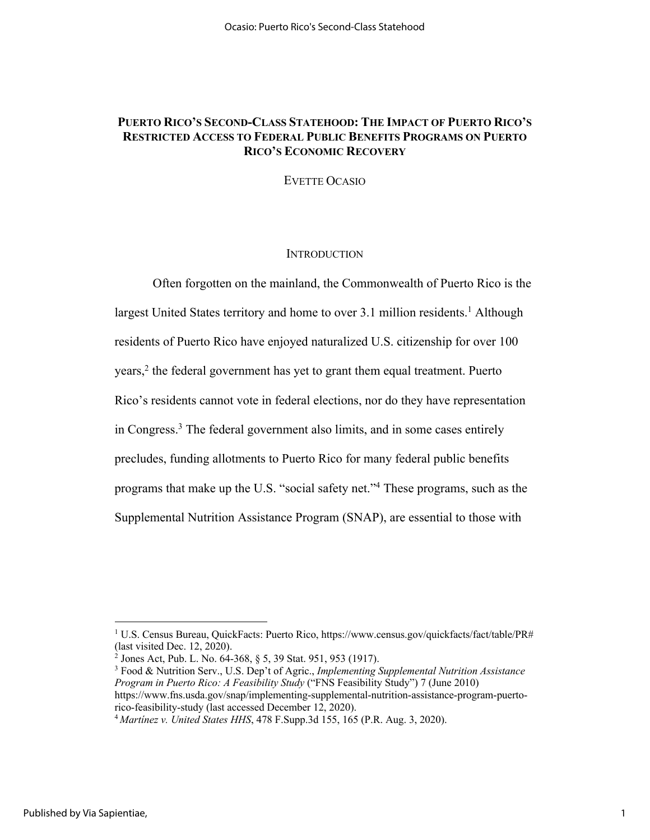# **PUERTO RICO'S SECOND-CLASS STATEHOOD: THE IMPACT OF PUERTO RICO'S RESTRICTED ACCESS TO FEDERAL PUBLIC BENEFITS PROGRAMS ON PUERTO RICO'S ECONOMIC RECOVERY**

EVETTE OCASIO

#### **INTRODUCTION**

Often forgotten on the mainland, the Commonwealth of Puerto Rico is the largest United States territory and home to over 3.1 million residents. <sup>1</sup> Although residents of Puerto Rico have enjoyed naturalized U.S. citizenship for over 100 years, <sup>2</sup> the federal government has yet to grant them equal treatment. Puerto Rico's residents cannot vote in federal elections, nor do they have representation in Congress. <sup>3</sup> The federal government also limits, and in some cases entirely precludes, funding allotments to Puerto Rico for many federal public benefits programs that make up the U.S. "social safety net."4 These programs, such as the Supplemental Nutrition Assistance Program (SNAP), are essential to those with

<sup>3</sup> Food & Nutrition Serv., U.S. Dep't of Agric., *Implementing Supplemental Nutrition Assistance Program in Puerto Rico: A Feasibility Study* ("FNS Feasibility Study") 7 (June 2010) https://www.fns.usda.gov/snap/implementing-supplemental-nutrition-assistance-program-puertorico-feasibility-study (last accessed December 12, 2020).

<sup>1</sup> U.S. Census Bureau, QuickFacts: Puerto Rico, https://www.census.gov/quickfacts/fact/table/PR# (last visited Dec. 12, 2020).

<sup>&</sup>lt;sup>2</sup> Jones Act, Pub. L. No.  $64-368$ ,  $§ 5, 39$  Stat. 951, 953 (1917).

<sup>4</sup> *Martínez v. United States HHS*, 478 F.Supp.3d 155, 165 (P.R. Aug. 3, 2020).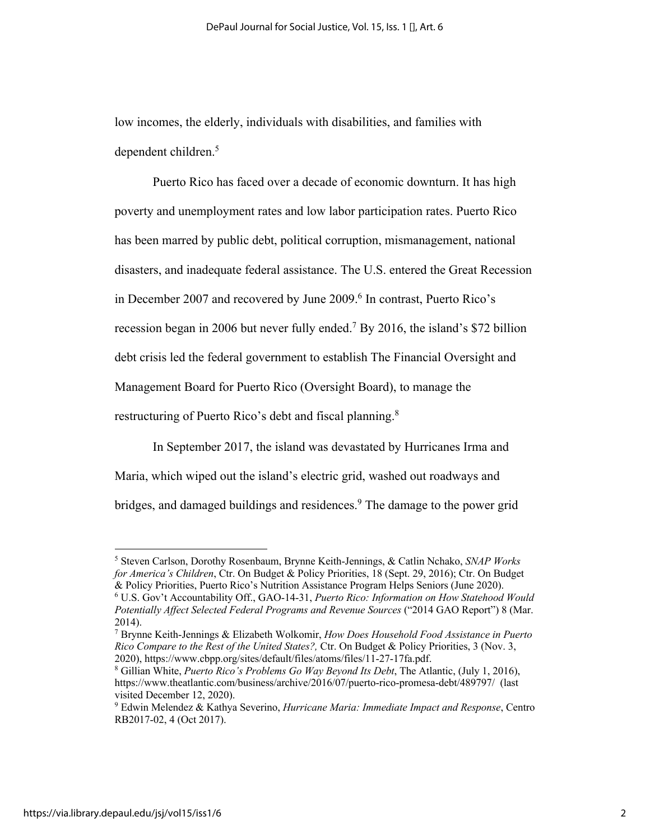low incomes, the elderly, individuals with disabilities, and families with dependent children.5

Puerto Rico has faced over a decade of economic downturn. It has high poverty and unemployment rates and low labor participation rates. Puerto Rico has been marred by public debt, political corruption, mismanagement, national disasters, and inadequate federal assistance. The U.S. entered the Great Recession in December 2007 and recovered by June 2009. <sup>6</sup> In contrast, Puerto Rico's recession began in 2006 but never fully ended. <sup>7</sup> By 2016, the island's \$72 billion debt crisis led the federal government to establish The Financial Oversight and Management Board for Puerto Rico (Oversight Board), to manage the restructuring of Puerto Rico's debt and fiscal planning.<sup>8</sup>

In September 2017, the island was devastated by Hurricanes Irma and Maria, which wiped out the island's electric grid, washed out roadways and bridges, and damaged buildings and residences. <sup>9</sup> The damage to the power grid

<sup>5</sup> Steven Carlson, Dorothy Rosenbaum, Brynne Keith-Jennings, & Catlin Nchako, *SNAP Works for America's Children*, Ctr. On Budget & Policy Priorities, 18 (Sept. 29, 2016); Ctr. On Budget & Policy Priorities, Puerto Rico's Nutrition Assistance Program Helps Seniors (June 2020).

<sup>6</sup> U.S. Gov't Accountability Off., GAO-14-31, *Puerto Rico: Information on How Statehood Would Potentially Affect Selected Federal Programs and Revenue Sources* ("2014 GAO Report") 8 (Mar. 2014).

<sup>7</sup> Brynne Keith-Jennings & Elizabeth Wolkomir, *How Does Household Food Assistance in Puerto Rico Compare to the Rest of the United States?,* Ctr. On Budget & Policy Priorities, 3 (Nov. 3, 2020), https://www.cbpp.org/sites/default/files/atoms/files/11-27-17fa.pdf.

<sup>8</sup> Gillian White, *Puerto Rico's Problems Go Way Beyond Its Debt*, The Atlantic, (July 1, 2016), https://www.theatlantic.com/business/archive/2016/07/puerto-rico-promesa-debt/489797/ (last visited December 12, 2020).

<sup>9</sup> Edwin Melendez & Kathya Severino, *Hurricane Maria: Immediate Impact and Response*, Centro RB2017-02, 4 (Oct 2017).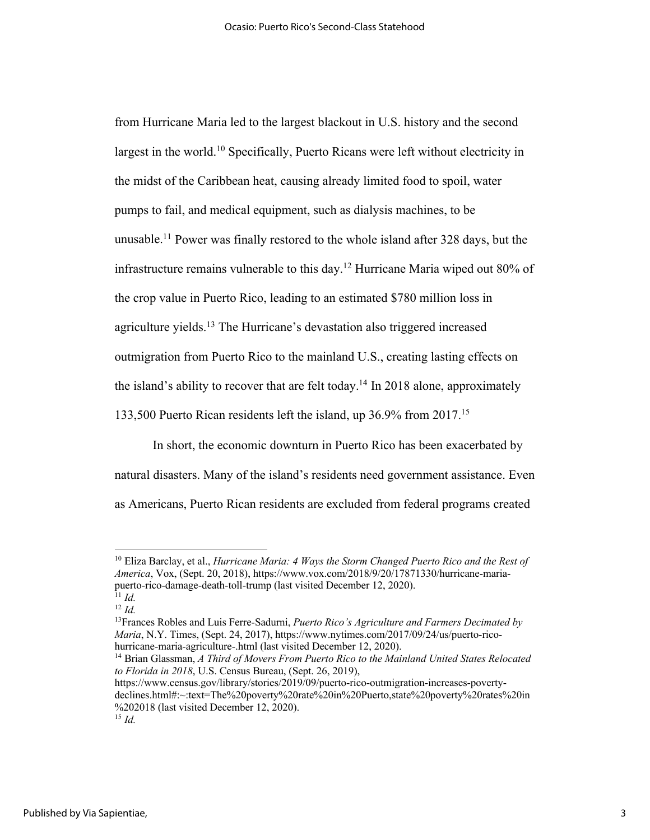from Hurricane Maria led to the largest blackout in U.S. history and the second largest in the world.<sup>10</sup> Specifically, Puerto Ricans were left without electricity in the midst of the Caribbean heat, causing already limited food to spoil, water pumps to fail, and medical equipment, such as dialysis machines, to be unusable.11 Power was finally restored to the whole island after 328 days, but the infrastructure remains vulnerable to this day. <sup>12</sup> Hurricane Maria wiped out 80% of the crop value in Puerto Rico, leading to an estimated \$780 million loss in agriculture yields.<sup>13</sup> The Hurricane's devastation also triggered increased outmigration from Puerto Rico to the mainland U.S., creating lasting effects on the island's ability to recover that are felt today.<sup>14</sup> In 2018 alone, approximately 133,500 Puerto Rican residents left the island, up 36.9% from 2017. 15

In short, the economic downturn in Puerto Rico has been exacerbated by natural disasters. Many of the island's residents need government assistance. Even as Americans, Puerto Rican residents are excluded from federal programs created

<sup>10</sup> Eliza Barclay, et al., *Hurricane Maria: 4 Ways the Storm Changed Puerto Rico and the Rest of America*, Vox, (Sept. 20, 2018), https://www.vox.com/2018/9/20/17871330/hurricane-mariapuerto-rico-damage-death-toll-trump (last visited December 12, 2020).

 $^{11}$  *Id.* <sup>12</sup> *Id.*

<sup>13</sup>Frances Robles and Luis Ferre-Sadurni, *Puerto Rico's Agriculture and Farmers Decimated by Maria*, N.Y. Times, (Sept. 24, 2017), https://www.nytimes.com/2017/09/24/us/puerto-ricohurricane-maria-agriculture-.html (last visited December 12, 2020).

<sup>14</sup> Brian Glassman, *A Third of Movers From Puerto Rico to the Mainland United States Relocated to Florida in 2018*, U.S. Census Bureau, (Sept. 26, 2019),

https://www.census.gov/library/stories/2019/09/puerto-rico-outmigration-increases-povertydeclines.html#:~:text=The%20poverty%20rate%20in%20Puerto,state%20poverty%20rates%20in %202018 (last visited December 12, 2020).

<sup>15</sup> *Id.*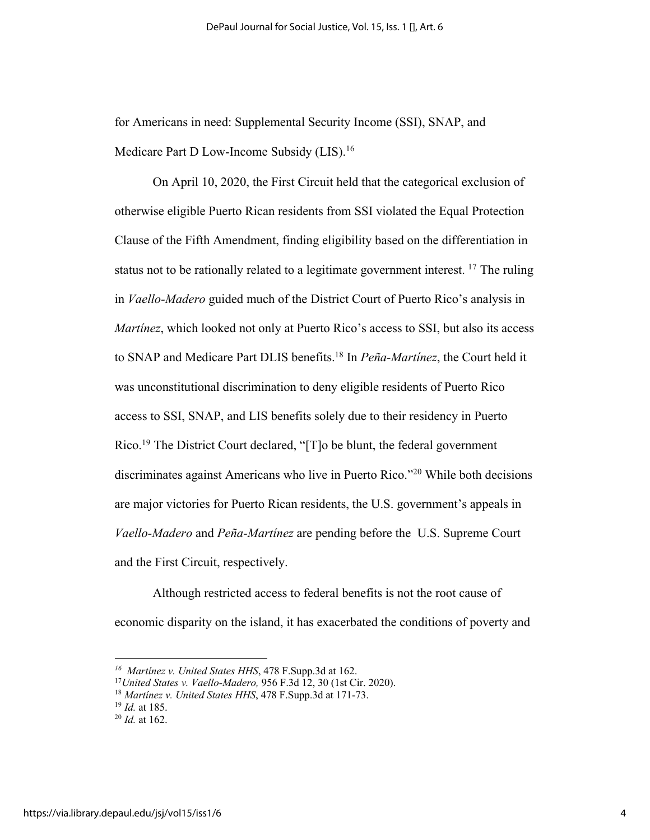for Americans in need: Supplemental Security Income (SSI), SNAP, and Medicare Part D Low-Income Subsidy (LIS).<sup>16</sup>

On April 10, 2020, the First Circuit held that the categorical exclusion of otherwise eligible Puerto Rican residents from SSI violated the Equal Protection Clause of the Fifth Amendment, finding eligibility based on the differentiation in status not to be rationally related to a legitimate government interest.  $^{17}$  The ruling in *Vaello-Madero* guided much of the District Court of Puerto Rico's analysis in *Martínez*, which looked not only at Puerto Rico's access to SSI, but also its access to SNAP and Medicare Part DLIS benefits.18 In *Peña-Martínez*, the Court held it was unconstitutional discrimination to deny eligible residents of Puerto Rico access to SSI, SNAP, and LIS benefits solely due to their residency in Puerto Rico.<sup>19</sup> The District Court declared, "[T]o be blunt, the federal government discriminates against Americans who live in Puerto Rico."20 While both decisions are major victories for Puerto Rican residents, the U.S. government's appeals in *Vaello-Madero* and *Peña-Martínez* are pending before the U.S. Supreme Court and the First Circuit, respectively.

Although restricted access to federal benefits is not the root cause of economic disparity on the island, it has exacerbated the conditions of poverty and

*<sup>16</sup> Martínez v. United States HHS*, 478 F.Supp.3d at 162. 17*United States v. Vaello-Madero,* 956 F.3d 12, 30 (1st Cir. 2020).

<sup>18</sup> *Martínez v. United States HHS*, 478 F.Supp.3d at 171-73.

<sup>19</sup> *Id.* at 185.

<sup>20</sup> *Id.* at 162.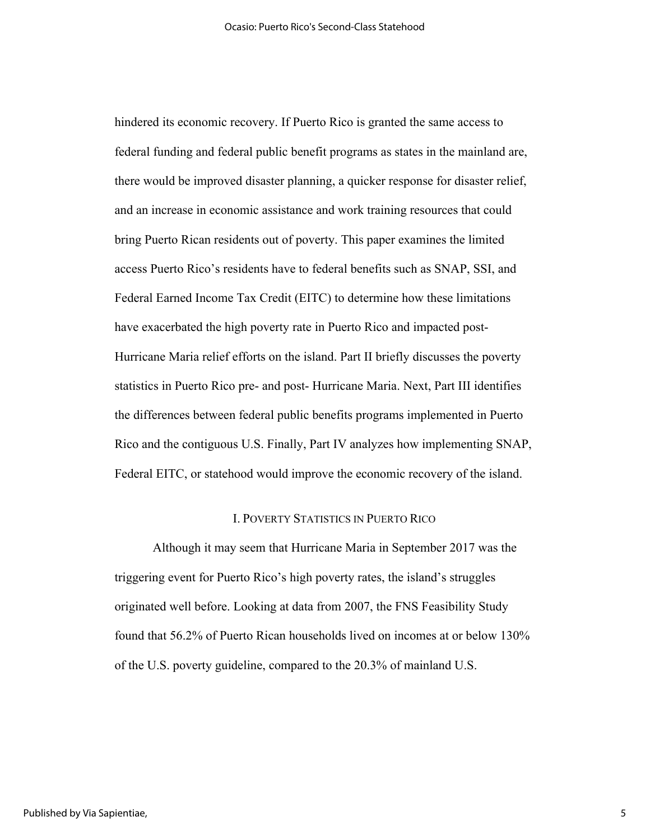hindered its economic recovery. If Puerto Rico is granted the same access to federal funding and federal public benefit programs as states in the mainland are, there would be improved disaster planning, a quicker response for disaster relief, and an increase in economic assistance and work training resources that could bring Puerto Rican residents out of poverty. This paper examines the limited access Puerto Rico's residents have to federal benefits such as SNAP, SSI, and Federal Earned Income Tax Credit (EITC) to determine how these limitations have exacerbated the high poverty rate in Puerto Rico and impacted post-Hurricane Maria relief efforts on the island. Part II briefly discusses the poverty statistics in Puerto Rico pre- and post- Hurricane Maria. Next, Part III identifies the differences between federal public benefits programs implemented in Puerto Rico and the contiguous U.S. Finally, Part IV analyzes how implementing SNAP, Federal EITC, or statehood would improve the economic recovery of the island.

### I. POVERTY STATISTICS IN PUERTO RICO

Although it may seem that Hurricane Maria in September 2017 was the triggering event for Puerto Rico's high poverty rates, the island's struggles originated well before. Looking at data from 2007, the FNS Feasibility Study found that 56.2% of Puerto Rican households lived on incomes at or below 130% of the U.S. poverty guideline, compared to the 20.3% of mainland U.S.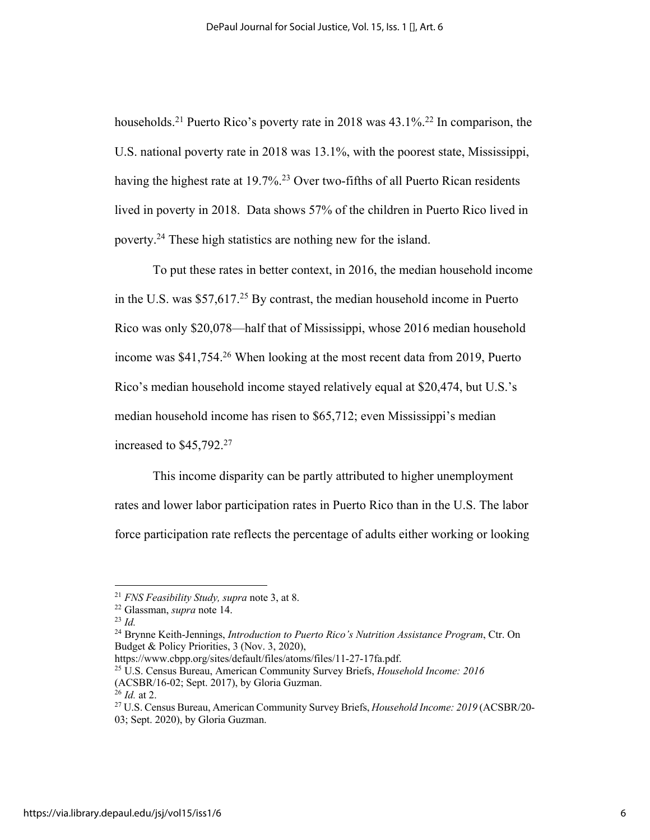households.<sup>21</sup> Puerto Rico's poverty rate in 2018 was 43.1%.<sup>22</sup> In comparison, the U.S. national poverty rate in 2018 was 13.1%, with the poorest state, Mississippi, having the highest rate at 19.7%.<sup>23</sup> Over two-fifths of all Puerto Rican residents lived in poverty in 2018. Data shows 57% of the children in Puerto Rico lived in poverty.24 These high statistics are nothing new for the island.

To put these rates in better context, in 2016, the median household income in the U.S. was  $$57,617<sup>25</sup>$  By contrast, the median household income in Puerto Rico was only \$20,078—half that of Mississippi, whose 2016 median household income was \$41,754.26 When looking at the most recent data from 2019, Puerto Rico's median household income stayed relatively equal at \$20,474, but U.S.'s median household income has risen to \$65,712; even Mississippi's median increased to \$45,792. 27

This income disparity can be partly attributed to higher unemployment rates and lower labor participation rates in Puerto Rico than in the U.S. The labor force participation rate reflects the percentage of adults either working or looking

<sup>21</sup> *FNS Feasibility Study, supra* note 3, at 8.

<sup>22</sup> Glassman, *supra* note 14.

<sup>23</sup> *Id.*

<sup>24</sup> Brynne Keith-Jennings, *Introduction to Puerto Rico's Nutrition Assistance Program*, Ctr. On Budget & Policy Priorities, 3 (Nov. 3, 2020),<br>https://www.cbpp.org/sites/default/files/atoms/files/11-27-17fa.pdf.

<sup>&</sup>lt;sup>25</sup> U.S. Census Bureau, American Community Survey Briefs, *Household Income: 2016* (ACSBR/16-02; Sept. 2017), by Gloria Guzman.

<sup>26</sup> *Id.* at 2.

<sup>27</sup> U.S. Census Bureau, American Community Survey Briefs, *Household Income: 2019* (ACSBR/20- 03; Sept. 2020), by Gloria Guzman.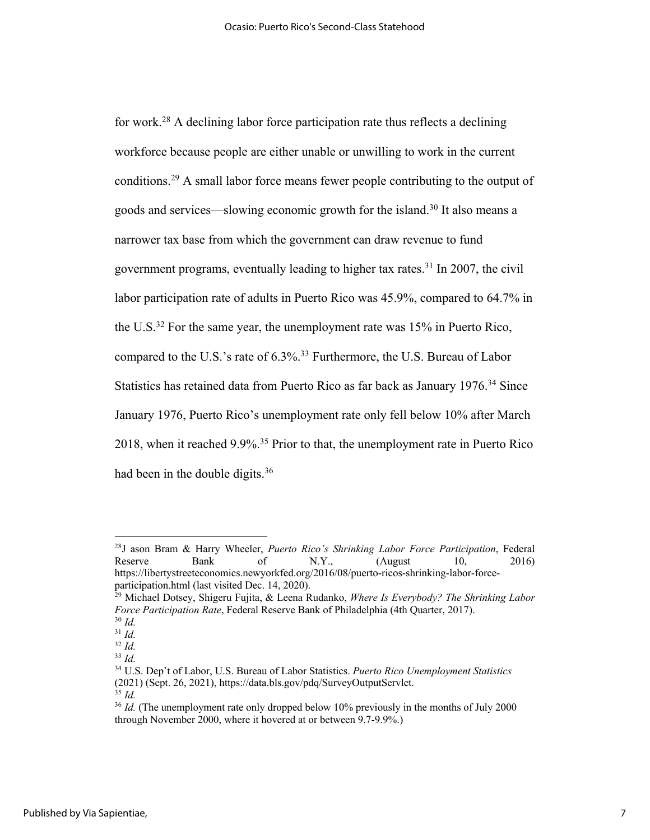for work.<sup>28</sup> A declining labor force participation rate thus reflects a declining workforce because people are either unable or unwilling to work in the current conditions.29 A small labor force means fewer people contributing to the output of goods and services—slowing economic growth for the island.30 It also means a narrower tax base from which the government can draw revenue to fund government programs, eventually leading to higher tax rates.<sup>31</sup> In 2007, the civil labor participation rate of adults in Puerto Rico was 45.9%, compared to 64.7% in the U.S.<sup>32</sup> For the same year, the unemployment rate was  $15\%$  in Puerto Rico, compared to the U.S.'s rate of 6.3%.33 Furthermore, the U.S. Bureau of Labor Statistics has retained data from Puerto Rico as far back as January 1976. <sup>34</sup> Since January 1976, Puerto Rico's unemployment rate only fell below 10% after March 2018, when it reached 9.9%. <sup>35</sup> Prior to that, the unemployment rate in Puerto Rico had been in the double digits.<sup>36</sup>

<sup>28</sup>J ason Bram & Harry Wheeler, *Puerto Rico's Shrinking Labor Force Participation*, Federal Reserve Bank of N.Y., (August 10, 2016) https://libertystreeteconomics.newyorkfed.org/2016/08/puerto-ricos-shrinking-labor-forceparticipation.html (last visited Dec. 14, 2020).

<sup>29</sup> Michael Dotsey, Shigeru Fujita, & Leena Rudanko, *Where Is Everybody? The Shrinking Labor Force Participation Rate*, Federal Reserve Bank of Philadelphia (4th Quarter, 2017). <sup>30</sup> *Id.*

<sup>31</sup> *Id.*

<sup>32</sup> *Id.*

<sup>33</sup> *Id.*

<sup>34</sup> U.S. Dep't of Labor, U.S. Bureau of Labor Statistics. *Puerto Rico Unemployment Statistics* (2021) (Sept. 26, 2021), https://data.bls.gov/pdq/SurveyOutputServlet. <sup>35</sup> *Id.*

<sup>&</sup>lt;sup>36</sup> *Id.* (The unemployment rate only dropped below 10% previously in the months of July 2000 through November 2000, where it hovered at or between 9.7-9.9%.)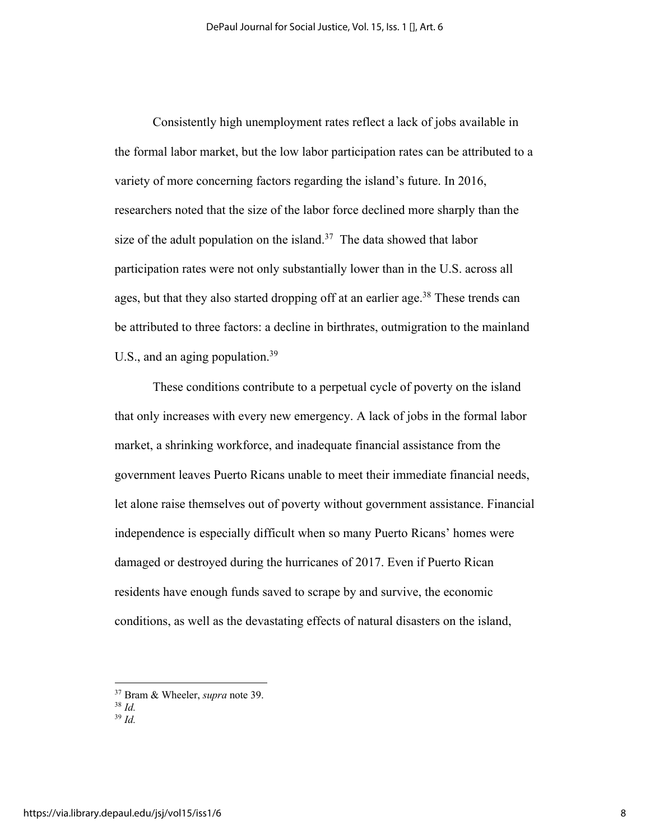Consistently high unemployment rates reflect a lack of jobs available in the formal labor market, but the low labor participation rates can be attributed to a variety of more concerning factors regarding the island's future. In 2016, researchers noted that the size of the labor force declined more sharply than the size of the adult population on the island.<sup>37</sup> The data showed that labor participation rates were not only substantially lower than in the U.S. across all ages, but that they also started dropping off at an earlier age.<sup>38</sup> These trends can be attributed to three factors: a decline in birthrates, outmigration to the mainland U.S., and an aging population.<sup>39</sup>

These conditions contribute to a perpetual cycle of poverty on the island that only increases with every new emergency. A lack of jobs in the formal labor market, a shrinking workforce, and inadequate financial assistance from the government leaves Puerto Ricans unable to meet their immediate financial needs, let alone raise themselves out of poverty without government assistance. Financial independence is especially difficult when so many Puerto Ricans' homes were damaged or destroyed during the hurricanes of 2017. Even if Puerto Rican residents have enough funds saved to scrape by and survive, the economic conditions, as well as the devastating effects of natural disasters on the island,

<sup>37</sup> Bram & Wheeler, *supra* note 39.

<sup>38</sup> *Id.* <sup>39</sup> *Id.*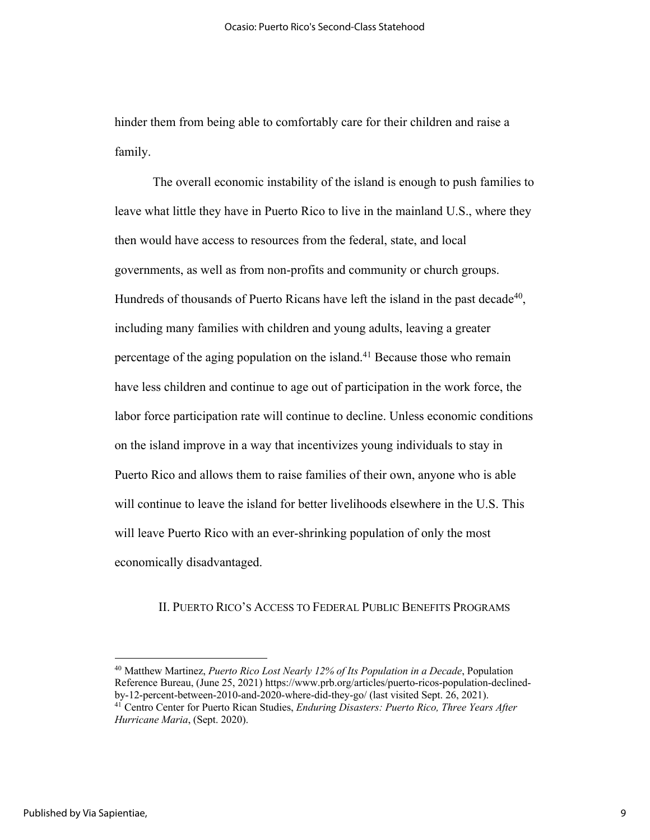hinder them from being able to comfortably care for their children and raise a family.

The overall economic instability of the island is enough to push families to leave what little they have in Puerto Rico to live in the mainland U.S., where they then would have access to resources from the federal, state, and local governments, as well as from non-profits and community or church groups. Hundreds of thousands of Puerto Ricans have left the island in the past decade<sup>40</sup>, including many families with children and young adults, leaving a greater percentage of the aging population on the island.41 Because those who remain have less children and continue to age out of participation in the work force, the labor force participation rate will continue to decline. Unless economic conditions on the island improve in a way that incentivizes young individuals to stay in Puerto Rico and allows them to raise families of their own, anyone who is able will continue to leave the island for better livelihoods elsewhere in the U.S. This will leave Puerto Rico with an ever-shrinking population of only the most economically disadvantaged.

# II. PUERTO RICO'S ACCESS TO FEDERAL PUBLIC BENEFITS PROGRAMS

<sup>40</sup> Matthew Martinez, *Puerto Rico Lost Nearly 12% of Its Population in a Decade*, Population Reference Bureau, (June 25, 2021) https://www.prb.org/articles/puerto-ricos-population-declinedby-12-percent-between-2010-and-2020-where-did-they-go/ (last visited Sept. 26, 2021). <sup>41</sup> Centro Center for Puerto Rican Studies, *Enduring Disasters: Puerto Rico, Three Years After* 

*Hurricane Maria*, (Sept. 2020).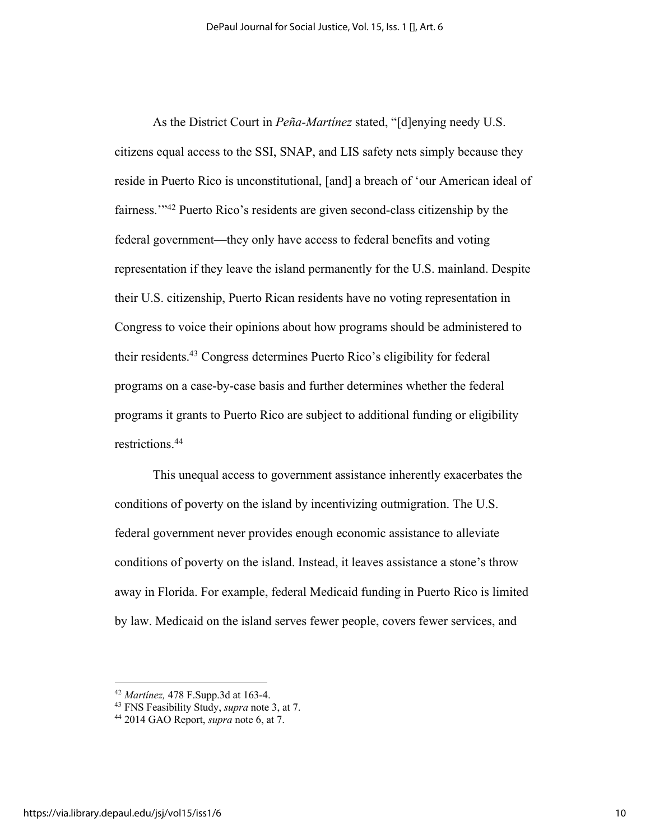As the District Court in *Peña-Martínez* stated, "[d]enying needy U.S. citizens equal access to the SSI, SNAP, and LIS safety nets simply because they reside in Puerto Rico is unconstitutional, [and] a breach of 'our American ideal of fairness.'"42 Puerto Rico's residents are given second-class citizenship by the federal government—they only have access to federal benefits and voting representation if they leave the island permanently for the U.S. mainland. Despite their U.S. citizenship, Puerto Rican residents have no voting representation in Congress to voice their opinions about how programs should be administered to their residents.43 Congress determines Puerto Rico's eligibility for federal programs on a case-by-case basis and further determines whether the federal programs it grants to Puerto Rico are subject to additional funding or eligibility restrictions. 44

This unequal access to government assistance inherently exacerbates the conditions of poverty on the island by incentivizing outmigration. The U.S. federal government never provides enough economic assistance to alleviate conditions of poverty on the island. Instead, it leaves assistance a stone's throw away in Florida. For example, federal Medicaid funding in Puerto Rico is limited by law. Medicaid on the island serves fewer people, covers fewer services, and

<sup>42</sup> *Martínez,* 478 F.Supp.3d at 163-4.

<sup>43</sup> FNS Feasibility Study, *supra* note 3, at 7.

<sup>44</sup> 2014 GAO Report, *supra* note 6, at 7.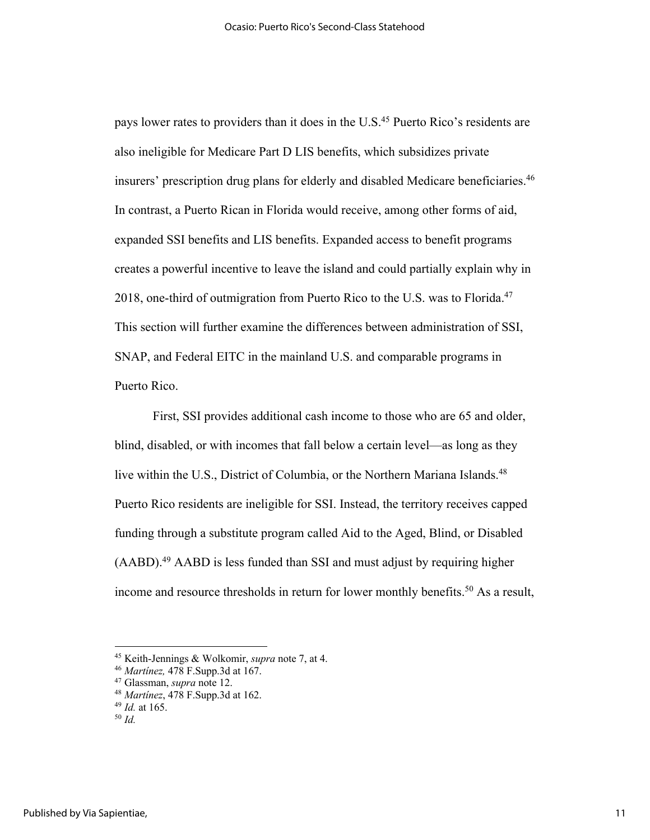pays lower rates to providers than it does in the U.S.<sup>45</sup> Puerto Rico's residents are also ineligible for Medicare Part D LIS benefits, which subsidizes private insurers' prescription drug plans for elderly and disabled Medicare beneficiaries.46 In contrast, a Puerto Rican in Florida would receive, among other forms of aid, expanded SSI benefits and LIS benefits. Expanded access to benefit programs creates a powerful incentive to leave the island and could partially explain why in 2018, one-third of outmigration from Puerto Rico to the U.S. was to Florida.<sup>47</sup> This section will further examine the differences between administration of SSI, SNAP, and Federal EITC in the mainland U.S. and comparable programs in Puerto Rico.

First, SSI provides additional cash income to those who are 65 and older, blind, disabled, or with incomes that fall below a certain level—as long as they live within the U.S., District of Columbia, or the Northern Mariana Islands.<sup>48</sup> Puerto Rico residents are ineligible for SSI. Instead, the territory receives capped funding through a substitute program called Aid to the Aged, Blind, or Disabled (AABD).49 AABD is less funded than SSI and must adjust by requiring higher income and resource thresholds in return for lower monthly benefits. <sup>50</sup> As a result,

<sup>45</sup> Keith-Jennings & Wolkomir, *supra* note 7, at 4.

<sup>46</sup> *Martínez,* 478 F.Supp.3d at 167.

<sup>47</sup> Glassman, *supra* note 12.

<sup>48</sup> *Martínez*, 478 F.Supp.3d at 162.

<sup>49</sup> *Id.* at 165.

<sup>50</sup> *Id.*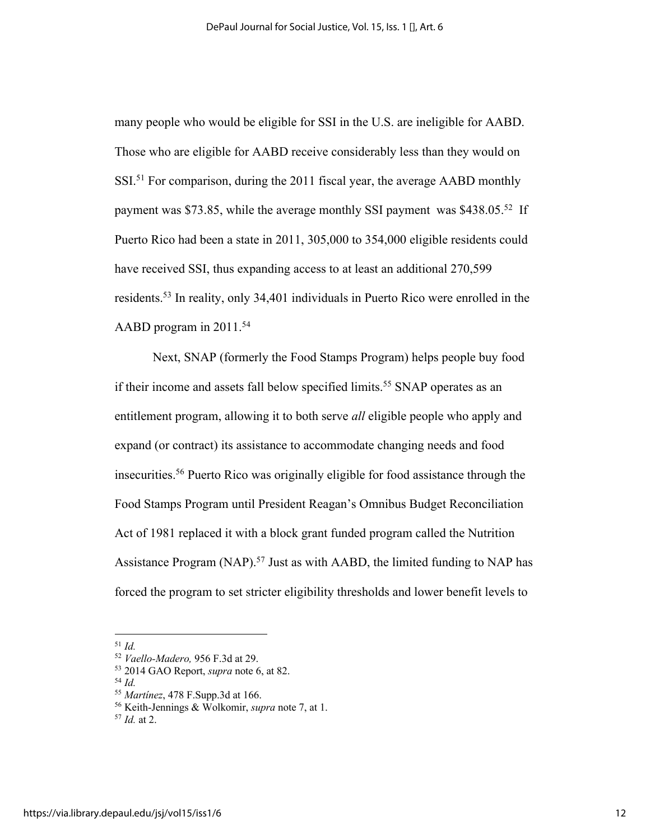many people who would be eligible for SSI in the U.S. are ineligible for AABD. Those who are eligible for AABD receive considerably less than they would on SSI.<sup>51</sup> For comparison, during the 2011 fiscal year, the average AABD monthly payment was \$73.85, while the average monthly SSI payment was \$438.05.<sup>52</sup> If Puerto Rico had been a state in 2011, 305,000 to 354,000 eligible residents could have received SSI, thus expanding access to at least an additional 270,599 residents. <sup>53</sup> In reality, only 34,401 individuals in Puerto Rico were enrolled in the AABD program in 2011.<sup>54</sup>

Next, SNAP (formerly the Food Stamps Program) helps people buy food if their income and assets fall below specified limits.<sup>55</sup> SNAP operates as an entitlement program, allowing it to both serve *all* eligible people who apply and expand (or contract) its assistance to accommodate changing needs and food insecurities. <sup>56</sup> Puerto Rico was originally eligible for food assistance through the Food Stamps Program until President Reagan's Omnibus Budget Reconciliation Act of 1981 replaced it with a block grant funded program called the Nutrition Assistance Program (NAP).<sup>57</sup> Just as with AABD, the limited funding to NAP has forced the program to set stricter eligibility thresholds and lower benefit levels to

<sup>51</sup> *Id.*

<sup>52</sup> *Vaello-Madero,* 956 F.3d at 29.

<sup>53</sup> 2014 GAO Report, *supra* note 6, at 82.

<sup>54</sup> *Id.*

<sup>55</sup> *Martínez*, 478 F.Supp.3d at 166.

<sup>56</sup> Keith-Jennings & Wolkomir, *supra* note 7, at 1.

<sup>57</sup> *Id.* at 2.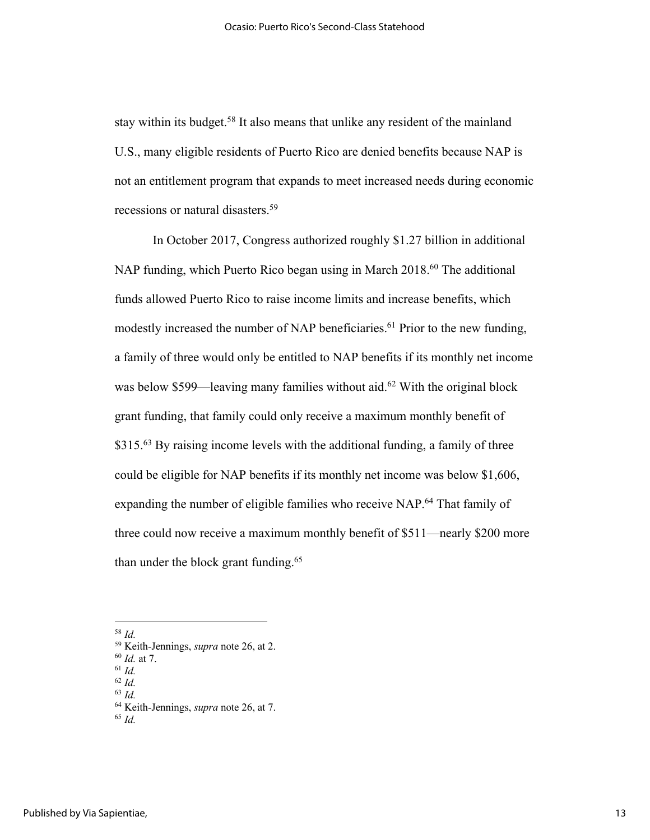stay within its budget.<sup>58</sup> It also means that unlike any resident of the mainland U.S., many eligible residents of Puerto Rico are denied benefits because NAP is not an entitlement program that expands to meet increased needs during economic recessions or natural disasters.<sup>59</sup>

In October 2017, Congress authorized roughly \$1.27 billion in additional NAP funding, which Puerto Rico began using in March 2018.<sup>60</sup> The additional funds allowed Puerto Rico to raise income limits and increase benefits, which modestly increased the number of NAP beneficiaries.<sup>61</sup> Prior to the new funding, a family of three would only be entitled to NAP benefits if its monthly net income was below \$599—leaving many families without aid.<sup>62</sup> With the original block grant funding, that family could only receive a maximum monthly benefit of  $$315<sup>63</sup>$  By raising income levels with the additional funding, a family of three could be eligible for NAP benefits if its monthly net income was below \$1,606, expanding the number of eligible families who receive NAP.<sup>64</sup> That family of three could now receive a maximum monthly benefit of \$511—nearly \$200 more than under the block grant funding. $65$ 

<sup>58</sup> *Id.*

<sup>59</sup> Keith-Jennings, *supra* note 26, at 2.

<sup>60</sup> *Id.* at 7.

<sup>61</sup> *Id.* <sup>62</sup> *Id.*

<sup>63</sup> *Id.*

<sup>64</sup> Keith-Jennings, *supra* note 26, at 7.

<sup>65</sup> *Id.*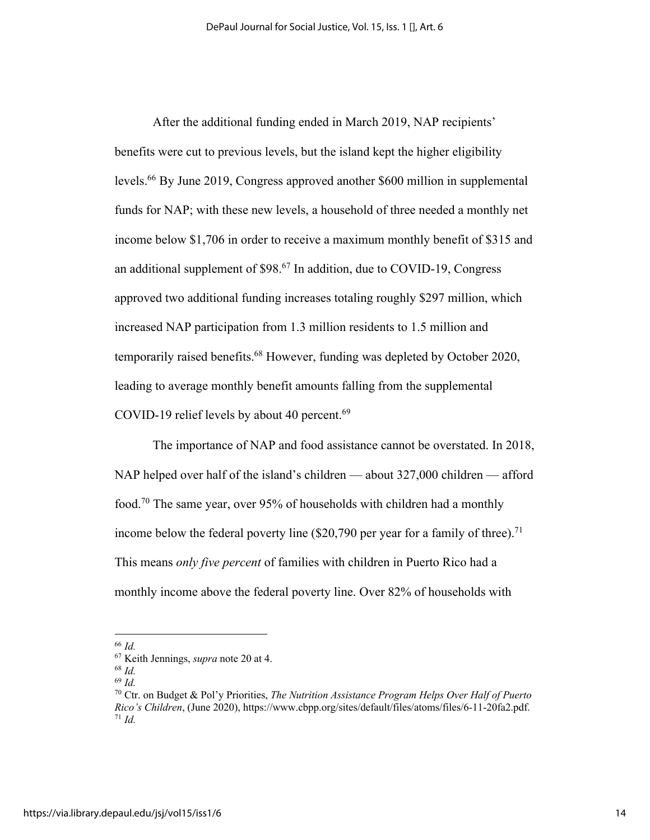After the additional funding ended in March 2019, NAP recipients' benefits were cut to previous levels, but the island kept the higher eligibility levels.66 By June 2019, Congress approved another \$600 million in supplemental funds for NAP; with these new levels, a household of three needed a monthly net income below \$1,706 in order to receive a maximum monthly benefit of \$315 and an additional supplement of  $$98<sup>67</sup>$  In addition, due to COVID-19, Congress approved two additional funding increases totaling roughly \$297 million, which increased NAP participation from 1.3 million residents to 1.5 million and temporarily raised benefits.<sup>68</sup> However, funding was depleted by October 2020, leading to average monthly benefit amounts falling from the supplemental COVID-19 relief levels by about 40 percent. $69$ 

The importance of NAP and food assistance cannot be overstated. In 2018, NAP helped over half of the island's children — about 327,000 children — afford food.70 The same year, over 95% of households with children had a monthly income below the federal poverty line  $(\$20,790$  per year for a family of three).<sup>71</sup> This means *only five percent* of families with children in Puerto Rico had a monthly income above the federal poverty line. Over 82% of households with

<sup>66</sup> *Id.*

<sup>67</sup> Keith Jennings, *supra* note 20 at 4.

<sup>68</sup> *Id.*

<sup>69</sup> *Id.*

<sup>70</sup> Ctr. on Budget & Pol'y Priorities, *The Nutrition Assistance Program Helps Over Half of Puerto Rico's Children*, (June 2020), https://www.cbpp.org/sites/default/files/atoms/files/6-11-20fa2.pdf. 71 *Id.*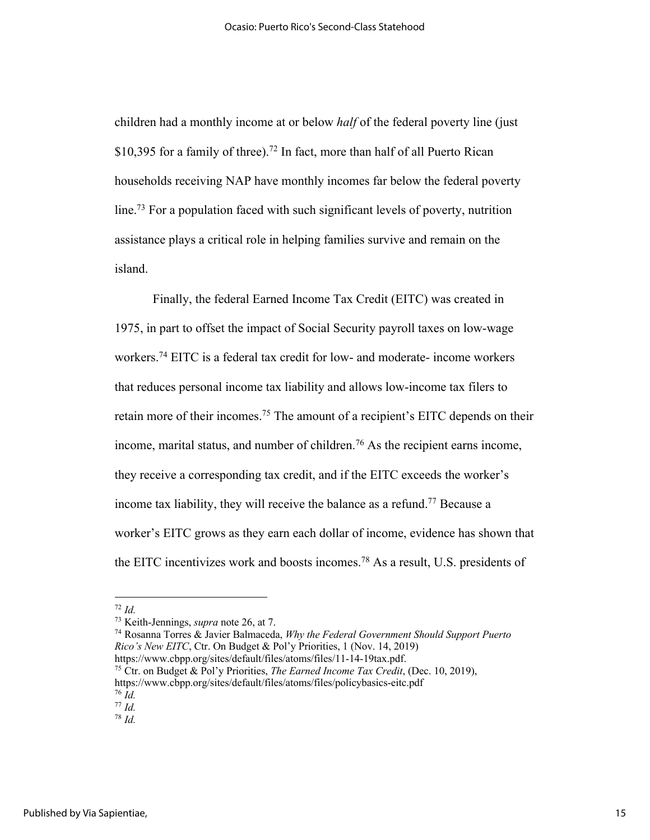children had a monthly income at or below *half* of the federal poverty line (just \$10,395 for a family of three).<sup>72</sup> In fact, more than half of all Puerto Rican households receiving NAP have monthly incomes far below the federal poverty line.<sup>73</sup> For a population faced with such significant levels of poverty, nutrition assistance plays a critical role in helping families survive and remain on the island.

Finally, the federal Earned Income Tax Credit (EITC) was created in 1975, in part to offset the impact of Social Security payroll taxes on low-wage workers.74 EITC is a federal tax credit for low- and moderate- income workers that reduces personal income tax liability and allows low-income tax filers to retain more of their incomes.<sup>75</sup> The amount of a recipient's EITC depends on their income, marital status, and number of children.<sup>76</sup> As the recipient earns income, they receive a corresponding tax credit, and if the EITC exceeds the worker's income tax liability, they will receive the balance as a refund.77 Because a worker's EITC grows as they earn each dollar of income, evidence has shown that the EITC incentivizes work and boosts incomes. <sup>78</sup> As a result, U.S. presidents of

<sup>74</sup> Rosanna Torres & Javier Balmaceda, *Why the Federal Government Should Support Puerto Rico's New EITC*, Ctr. On Budget & Pol'y Priorities, 1 (Nov. 14, 2019)

<sup>72</sup> *Id.*

<sup>73</sup> Keith-Jennings, *supra* note 26, at 7.

https://www.cbpp.org/sites/default/files/atoms/files/11-14-19tax.pdf. 75 Ctr. on Budget & Pol'y Priorities, *The Earned Income Tax Credit*, (Dec. 10, 2019), https://www.cbpp.org/sites/default/files/atoms/files/policybasics-eitc.pdf <sup>76</sup> *Id.*

<sup>77</sup> *Id.*

<sup>78</sup> *Id.*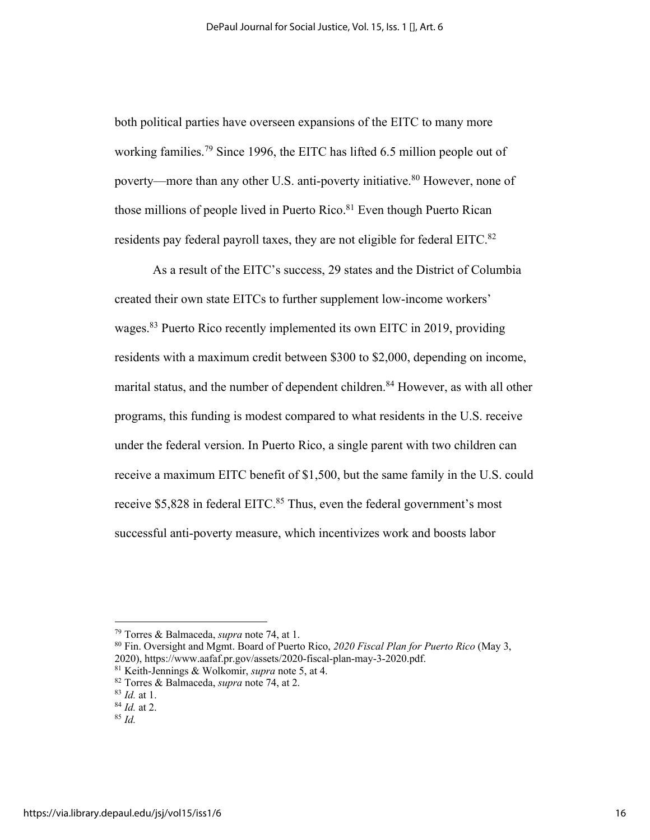both political parties have overseen expansions of the EITC to many more working families.<sup>79</sup> Since 1996, the EITC has lifted 6.5 million people out of poverty—more than any other U.S. anti-poverty initiative.<sup>80</sup> However, none of those millions of people lived in Puerto Rico.<sup>81</sup> Even though Puerto Rican residents pay federal payroll taxes, they are not eligible for federal EITC.<sup>82</sup>

As a result of the EITC's success, 29 states and the District of Columbia created their own state EITCs to further supplement low-income workers' wages.<sup>83</sup> Puerto Rico recently implemented its own EITC in 2019, providing residents with a maximum credit between \$300 to \$2,000, depending on income, marital status, and the number of dependent children.<sup>84</sup> However, as with all other programs, this funding is modest compared to what residents in the U.S. receive under the federal version. In Puerto Rico, a single parent with two children can receive a maximum EITC benefit of \$1,500, but the same family in the U.S. could receive \$5,828 in federal EITC.<sup>85</sup> Thus, even the federal government's most successful anti-poverty measure, which incentivizes work and boosts labor

<sup>79</sup> Torres & Balmaceda, *supra* note 74, at 1.

<sup>80</sup> Fin. Oversight and Mgmt. Board of Puerto Rico, *2020 Fiscal Plan for Puerto Rico* (May 3, 2020), https://www.aafaf.pr.gov/assets/2020-fiscal-plan-may-3-2020.pdf. 81 Keith-Jennings & Wolkomir, *supra* note 5, at 4.

<sup>82</sup> Torres & Balmaceda, *supra* note 74, at 2.

<sup>83</sup> *Id.* at 1.

<sup>84</sup> *Id.* at 2.

<sup>85</sup> *Id.*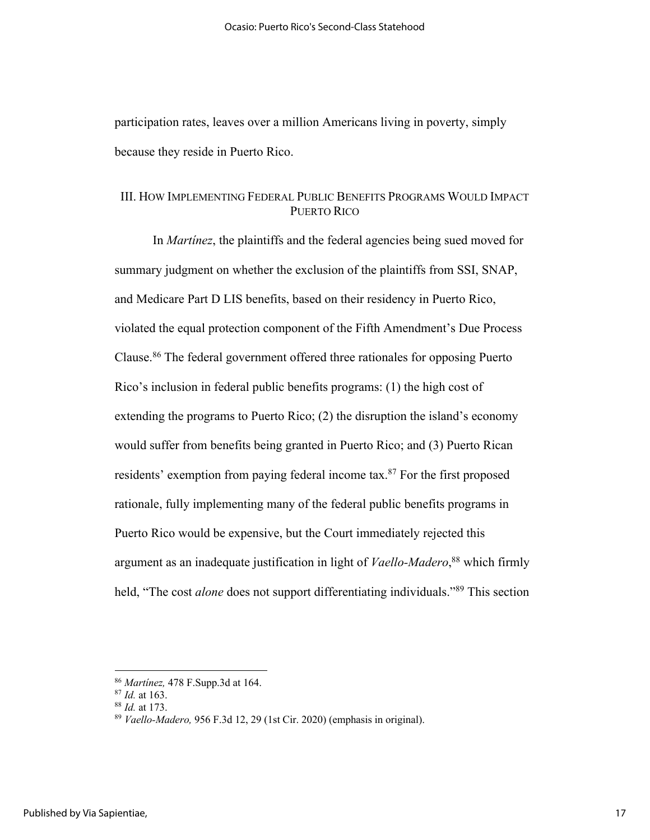participation rates, leaves over a million Americans living in poverty, simply because they reside in Puerto Rico.

# III. HOW IMPLEMENTING FEDERAL PUBLIC BENEFITS PROGRAMS WOULD IMPACT PUERTO RICO

In *Martínez*, the plaintiffs and the federal agencies being sued moved for summary judgment on whether the exclusion of the plaintiffs from SSI, SNAP, and Medicare Part D LIS benefits, based on their residency in Puerto Rico, violated the equal protection component of the Fifth Amendment's Due Process Clause.86 The federal government offered three rationales for opposing Puerto Rico's inclusion in federal public benefits programs: (1) the high cost of extending the programs to Puerto Rico; (2) the disruption the island's economy would suffer from benefits being granted in Puerto Rico; and (3) Puerto Rican residents' exemption from paying federal income tax.<sup>87</sup> For the first proposed rationale, fully implementing many of the federal public benefits programs in Puerto Rico would be expensive, but the Court immediately rejected this argument as an inadequate justification in light of *Vaello-Madero*, <sup>88</sup> which firmly held, "The cost *alone* does not support differentiating individuals."<sup>89</sup> This section

<sup>86</sup> *Martínez,* 478 F.Supp.3d at 164.

<sup>87</sup> *Id.* at 163.

<sup>88</sup> *Id.* at 173.

<sup>89</sup> *Vaello-Madero,* 956 F.3d 12, 29 (1st Cir. 2020) (emphasis in original).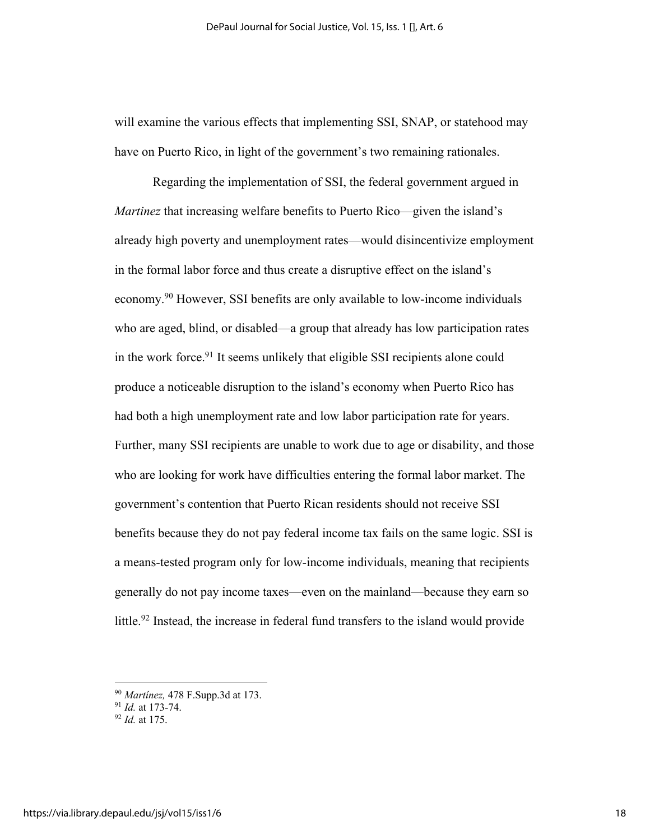will examine the various effects that implementing SSI, SNAP, or statehood may have on Puerto Rico, in light of the government's two remaining rationales.

Regarding the implementation of SSI, the federal government argued in *Martinez* that increasing welfare benefits to Puerto Rico—given the island's already high poverty and unemployment rates—would disincentivize employment in the formal labor force and thus create a disruptive effect on the island's economy.90 However, SSI benefits are only available to low-income individuals who are aged, blind, or disabled—a group that already has low participation rates in the work force. <sup>91</sup> It seems unlikely that eligible SSI recipients alone could produce a noticeable disruption to the island's economy when Puerto Rico has had both a high unemployment rate and low labor participation rate for years. Further, many SSI recipients are unable to work due to age or disability, and those who are looking for work have difficulties entering the formal labor market. The government's contention that Puerto Rican residents should not receive SSI benefits because they do not pay federal income tax fails on the same logic. SSI is a means-tested program only for low-income individuals, meaning that recipients generally do not pay income taxes—even on the mainland—because they earn so little.<sup>92</sup> Instead, the increase in federal fund transfers to the island would provide

<sup>90</sup> *Martínez,* 478 F.Supp.3d at 173.

<sup>91</sup> *Id.* at 173-74.

<sup>92</sup> *Id.* at 175.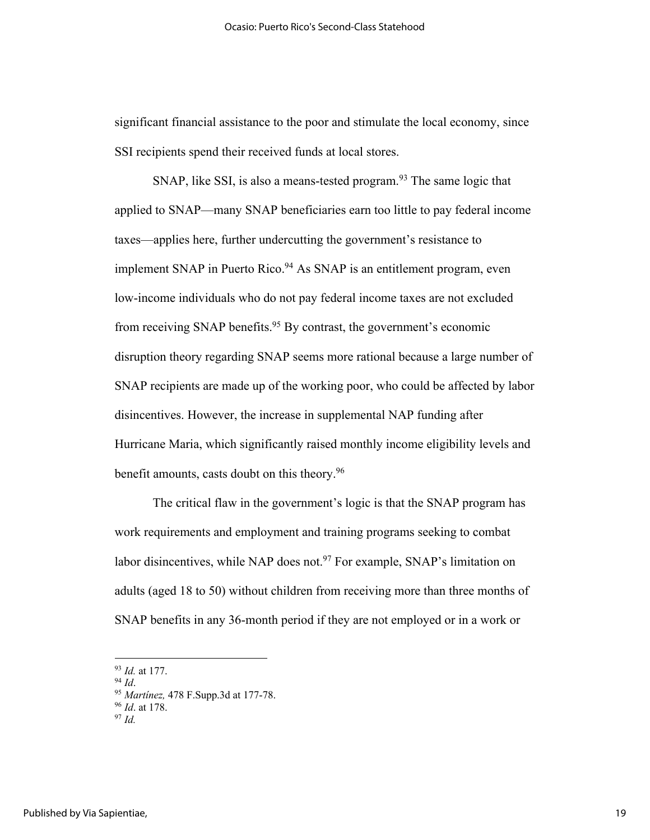significant financial assistance to the poor and stimulate the local economy, since SSI recipients spend their received funds at local stores.

SNAP, like SSI, is also a means-tested program.<sup>93</sup> The same logic that applied to SNAP—many SNAP beneficiaries earn too little to pay federal income taxes—applies here, further undercutting the government's resistance to implement SNAP in Puerto Rico.<sup>94</sup> As SNAP is an entitlement program, even low-income individuals who do not pay federal income taxes are not excluded from receiving SNAP benefits.<sup>95</sup> By contrast, the government's economic disruption theory regarding SNAP seems more rational because a large number of SNAP recipients are made up of the working poor, who could be affected by labor disincentives. However, the increase in supplemental NAP funding after Hurricane Maria, which significantly raised monthly income eligibility levels and benefit amounts, casts doubt on this theory.<sup>96</sup>

The critical flaw in the government's logic is that the SNAP program has work requirements and employment and training programs seeking to combat labor disincentives, while NAP does not.<sup>97</sup> For example, SNAP's limitation on adults (aged 18 to 50) without children from receiving more than three months of SNAP benefits in any 36-month period if they are not employed or in a work or

<sup>93</sup> *Id.* at 177.

<sup>94</sup> *Id*.

<sup>95</sup> *Martínez,* 478 F.Supp.3d at 177-78.

<sup>96</sup> *Id*. at 178. <sup>97</sup> *Id.*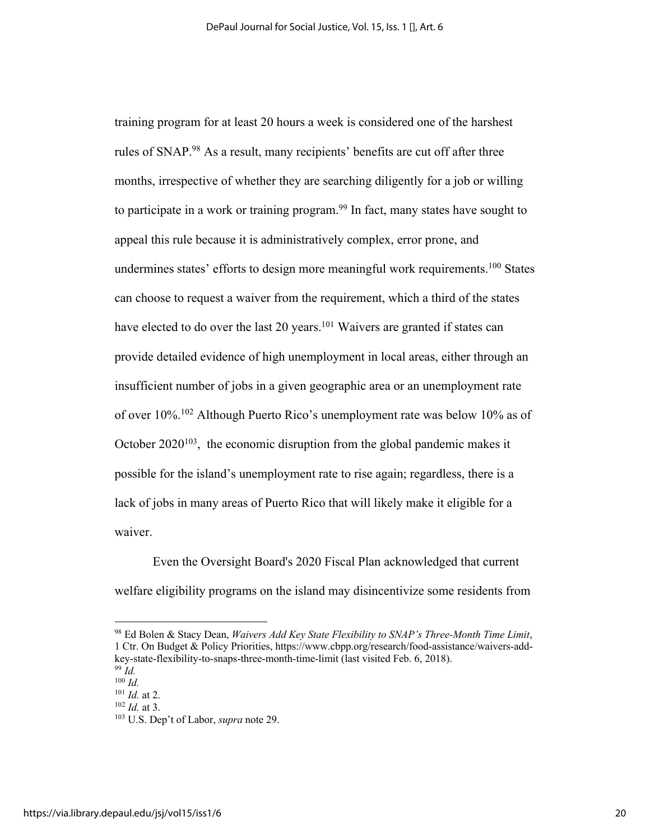training program for at least 20 hours a week is considered one of the harshest rules of SNAP.98 As a result, many recipients' benefits are cut off after three months, irrespective of whether they are searching diligently for a job or willing to participate in a work or training program. <sup>99</sup> In fact, many states have sought to appeal this rule because it is administratively complex, error prone, and undermines states' efforts to design more meaningful work requirements.<sup>100</sup> States can choose to request a waiver from the requirement, which a third of the states have elected to do over the last 20 years.<sup>101</sup> Waivers are granted if states can provide detailed evidence of high unemployment in local areas, either through an insufficient number of jobs in a given geographic area or an unemployment rate of over 10%.102 Although Puerto Rico's unemployment rate was below 10% as of October  $2020^{103}$ , the economic disruption from the global pandemic makes it possible for the island's unemployment rate to rise again; regardless, there is a lack of jobs in many areas of Puerto Rico that will likely make it eligible for a waiver.

Even the Oversight Board's 2020 Fiscal Plan acknowledged that current welfare eligibility programs on the island may disincentivize some residents from

<sup>98</sup> Ed Bolen & Stacy Dean, *Waivers Add Key State Flexibility to SNAP's Three-Month Time Limit*, 1 Ctr. On Budget & Policy Priorities, https://www.cbpp.org/research/food-assistance/waivers-addkey-state-flexibility-to-snaps-three-month-time-limit (last visited Feb. 6, 2018).

<sup>99</sup> *Id.* <sup>100</sup> *Id.*

<sup>101</sup> *Id.* at 2.

<sup>102</sup> *Id.* at 3.

<sup>103</sup> U.S. Dep't of Labor, *supra* note 29.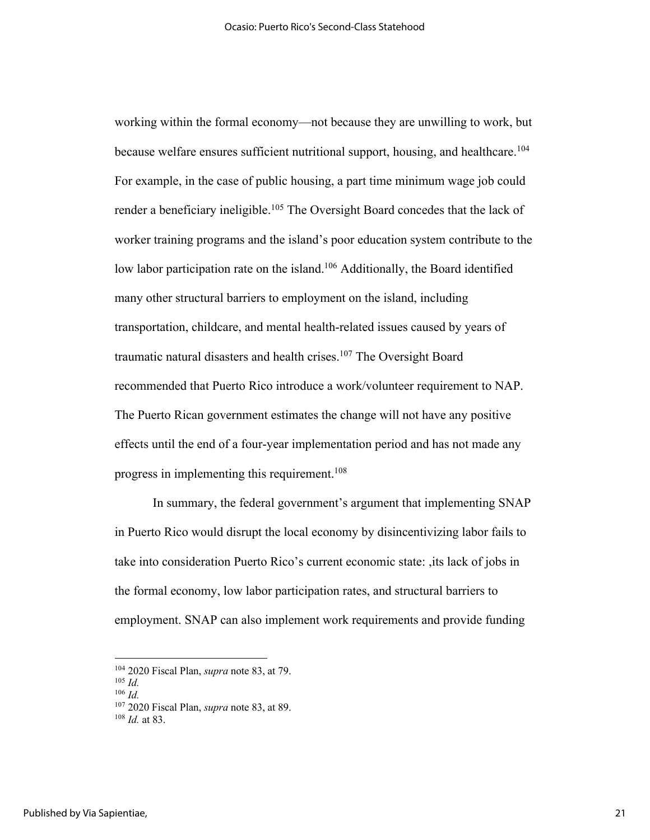working within the formal economy—not because they are unwilling to work, but because welfare ensures sufficient nutritional support, housing, and healthcare.<sup>104</sup> For example, in the case of public housing, a part time minimum wage job could render a beneficiary ineligible.<sup>105</sup> The Oversight Board concedes that the lack of worker training programs and the island's poor education system contribute to the low labor participation rate on the island.<sup>106</sup> Additionally, the Board identified many other structural barriers to employment on the island, including transportation, childcare, and mental health-related issues caused by years of traumatic natural disasters and health crises.<sup>107</sup> The Oversight Board recommended that Puerto Rico introduce a work/volunteer requirement to NAP. The Puerto Rican government estimates the change will not have any positive effects until the end of a four-year implementation period and has not made any progress in implementing this requirement. 108

In summary, the federal government's argument that implementing SNAP in Puerto Rico would disrupt the local economy by disincentivizing labor fails to take into consideration Puerto Rico's current economic state: ,its lack of jobs in the formal economy, low labor participation rates, and structural barriers to employment. SNAP can also implement work requirements and provide funding

<sup>104</sup> 2020 Fiscal Plan, *supra* note 83, at 79.

<sup>105</sup> *Id.*

<sup>106</sup> *Id.*

<sup>107</sup> 2020 Fiscal Plan, *supra* note 83, at 89.

<sup>108</sup> *Id.* at 83.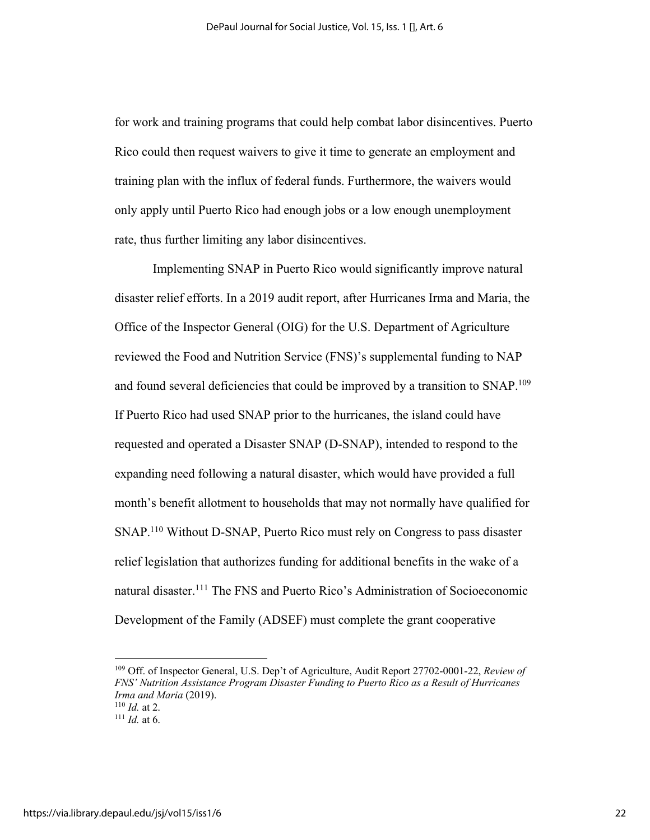for work and training programs that could help combat labor disincentives. Puerto Rico could then request waivers to give it time to generate an employment and training plan with the influx of federal funds. Furthermore, the waivers would only apply until Puerto Rico had enough jobs or a low enough unemployment rate, thus further limiting any labor disincentives.

Implementing SNAP in Puerto Rico would significantly improve natural disaster relief efforts. In a 2019 audit report, after Hurricanes Irma and Maria, the Office of the Inspector General (OIG) for the U.S. Department of Agriculture reviewed the Food and Nutrition Service (FNS)'s supplemental funding to NAP and found several deficiencies that could be improved by a transition to SNAP.109 If Puerto Rico had used SNAP prior to the hurricanes, the island could have requested and operated a Disaster SNAP (D-SNAP), intended to respond to the expanding need following a natural disaster, which would have provided a full month's benefit allotment to households that may not normally have qualified for SNAP. <sup>110</sup> Without D-SNAP, Puerto Rico must rely on Congress to pass disaster relief legislation that authorizes funding for additional benefits in the wake of a natural disaster. <sup>111</sup> The FNS and Puerto Rico's Administration of Socioeconomic Development of the Family (ADSEF) must complete the grant cooperative

<sup>109</sup> Off. of Inspector General, U.S. Dep't of Agriculture, Audit Report 27702-0001-22, *Review of FNS' Nutrition Assistance Program Disaster Funding to Puerto Rico as a Result of Hurricanes Irma and Maria* (2019). <sup>110</sup> *Id.* at 2.

 $111$  *Id.* at 6.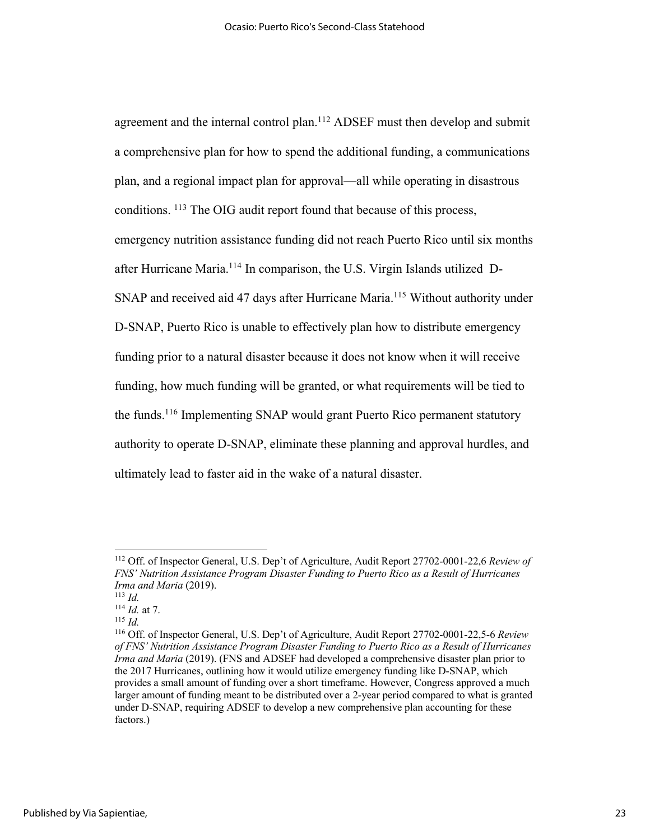agreement and the internal control plan.<sup>112</sup> ADSEF must then develop and submit a comprehensive plan for how to spend the additional funding, a communications plan, and a regional impact plan for approval—all while operating in disastrous conditions. 113 The OIG audit report found that because of this process, emergency nutrition assistance funding did not reach Puerto Rico until six months after Hurricane Maria.114 In comparison, the U.S. Virgin Islands utilized D-SNAP and received aid 47 days after Hurricane Maria.<sup>115</sup> Without authority under D-SNAP, Puerto Rico is unable to effectively plan how to distribute emergency funding prior to a natural disaster because it does not know when it will receive funding, how much funding will be granted, or what requirements will be tied to the funds.116 Implementing SNAP would grant Puerto Rico permanent statutory authority to operate D-SNAP, eliminate these planning and approval hurdles, and ultimately lead to faster aid in the wake of a natural disaster.

<sup>112</sup> Off. of Inspector General, U.S. Dep't of Agriculture, Audit Report 27702-0001-22,6 *Review of FNS' Nutrition Assistance Program Disaster Funding to Puerto Rico as a Result of Hurricanes Irma and Maria* (2019).

<sup>113</sup> *Id.*

<sup>114</sup> *Id.* at 7.

<sup>115</sup> *Id.*

<sup>116</sup> Off. of Inspector General, U.S. Dep't of Agriculture, Audit Report 27702-0001-22,5-6 *Review of FNS' Nutrition Assistance Program Disaster Funding to Puerto Rico as a Result of Hurricanes Irma and Maria* (2019). (FNS and ADSEF had developed a comprehensive disaster plan prior to the 2017 Hurricanes, outlining how it would utilize emergency funding like D-SNAP, which provides a small amount of funding over a short timeframe. However, Congress approved a much larger amount of funding meant to be distributed over a 2-year period compared to what is granted under D-SNAP, requiring ADSEF to develop a new comprehensive plan accounting for these factors.)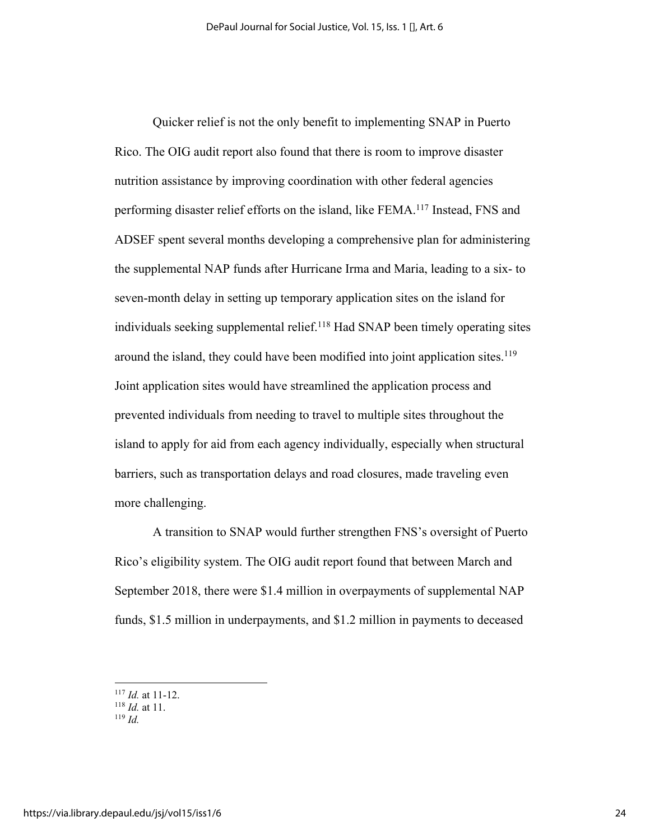Quicker relief is not the only benefit to implementing SNAP in Puerto Rico. The OIG audit report also found that there is room to improve disaster nutrition assistance by improving coordination with other federal agencies performing disaster relief efforts on the island, like FEMA.117 Instead, FNS and ADSEF spent several months developing a comprehensive plan for administering the supplemental NAP funds after Hurricane Irma and Maria, leading to a six- to seven-month delay in setting up temporary application sites on the island for individuals seeking supplemental relief.<sup>118</sup> Had SNAP been timely operating sites around the island, they could have been modified into joint application sites.<sup>119</sup> Joint application sites would have streamlined the application process and prevented individuals from needing to travel to multiple sites throughout the island to apply for aid from each agency individually, especially when structural barriers, such as transportation delays and road closures, made traveling even more challenging.

A transition to SNAP would further strengthen FNS's oversight of Puerto Rico's eligibility system. The OIG audit report found that between March and September 2018, there were \$1.4 million in overpayments of supplemental NAP funds, \$1.5 million in underpayments, and \$1.2 million in payments to deceased

<sup>117</sup> *Id.* at 11-12.

<sup>118</sup> *Id.* at 11.

<sup>119</sup> *Id.*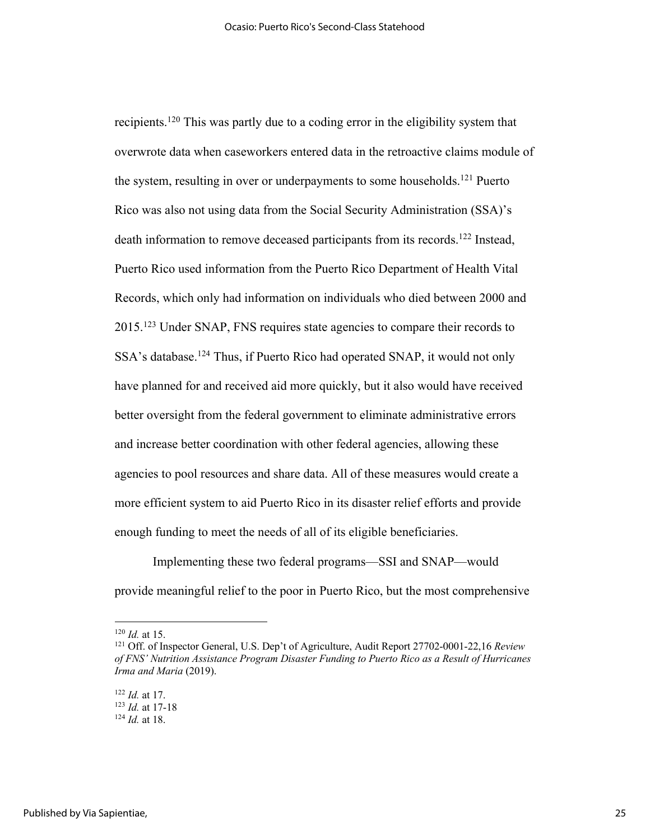recipients.120 This was partly due to a coding error in the eligibility system that overwrote data when caseworkers entered data in the retroactive claims module of the system, resulting in over or underpayments to some households. <sup>121</sup> Puerto Rico was also not using data from the Social Security Administration (SSA)'s death information to remove deceased participants from its records. <sup>122</sup> Instead, Puerto Rico used information from the Puerto Rico Department of Health Vital Records, which only had information on individuals who died between 2000 and 2015.123 Under SNAP, FNS requires state agencies to compare their records to SSA's database.<sup>124</sup> Thus, if Puerto Rico had operated SNAP, it would not only have planned for and received aid more quickly, but it also would have received better oversight from the federal government to eliminate administrative errors and increase better coordination with other federal agencies, allowing these agencies to pool resources and share data. All of these measures would create a more efficient system to aid Puerto Rico in its disaster relief efforts and provide enough funding to meet the needs of all of its eligible beneficiaries.

Implementing these two federal programs—SSI and SNAP—would provide meaningful relief to the poor in Puerto Rico, but the most comprehensive

<sup>120</sup> *Id.* at 15.

<sup>121</sup> Off. of Inspector General, U.S. Dep't of Agriculture, Audit Report 27702-0001-22,16 *Review of FNS' Nutrition Assistance Program Disaster Funding to Puerto Rico as a Result of Hurricanes Irma and Maria* (2019).

<sup>122</sup> *Id.* at 17. <sup>123</sup> *Id.* at 17-18 <sup>124</sup> *Id.* at 18.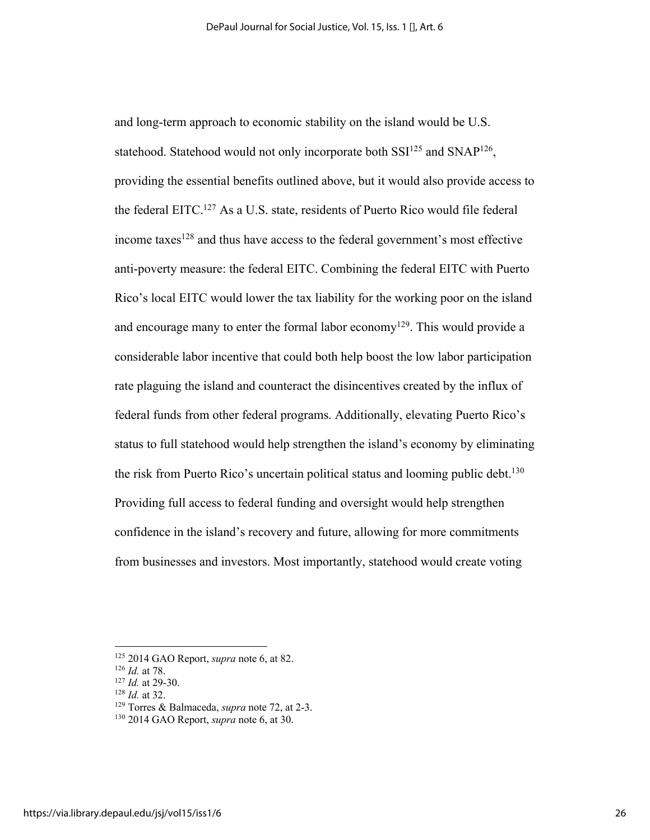and long-term approach to economic stability on the island would be U.S. statehood. Statehood would not only incorporate both  $SSI^{125}$  and  $SNAP^{126}$ , providing the essential benefits outlined above, but it would also provide access to the federal EITC.127 As a U.S. state, residents of Puerto Rico would file federal income taxes<sup>128</sup> and thus have access to the federal government's most effective anti-poverty measure: the federal EITC. Combining the federal EITC with Puerto Rico's local EITC would lower the tax liability for the working poor on the island and encourage many to enter the formal labor economy<sup>129</sup>. This would provide a considerable labor incentive that could both help boost the low labor participation rate plaguing the island and counteract the disincentives created by the influx of federal funds from other federal programs. Additionally, elevating Puerto Rico's status to full statehood would help strengthen the island's economy by eliminating the risk from Puerto Rico's uncertain political status and looming public debt.<sup>130</sup> Providing full access to federal funding and oversight would help strengthen confidence in the island's recovery and future, allowing for more commitments from businesses and investors. Most importantly, statehood would create voting

<sup>125</sup> 2014 GAO Report, *supra* note 6, at 82.

<sup>126</sup> *Id.* at 78.

<sup>127</sup> *Id.* at 29-30.

<sup>128</sup> *Id.* at 32.

<sup>129</sup> Torres & Balmaceda, *supra* note 72, at 2-3.

<sup>130</sup> 2014 GAO Report, *supra* note 6, at 30.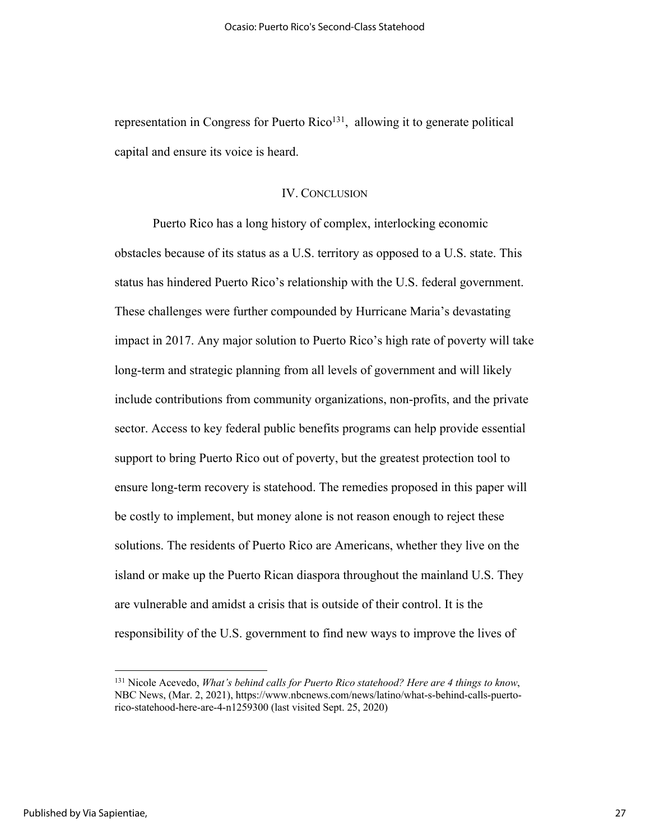representation in Congress for Puerto Rico<sup>131</sup>, allowing it to generate political capital and ensure its voice is heard.

### IV. CONCLUSION

Puerto Rico has a long history of complex, interlocking economic obstacles because of its status as a U.S. territory as opposed to a U.S. state. This status has hindered Puerto Rico's relationship with the U.S. federal government. These challenges were further compounded by Hurricane Maria's devastating impact in 2017. Any major solution to Puerto Rico's high rate of poverty will take long-term and strategic planning from all levels of government and will likely include contributions from community organizations, non-profits, and the private sector. Access to key federal public benefits programs can help provide essential support to bring Puerto Rico out of poverty, but the greatest protection tool to ensure long-term recovery is statehood. The remedies proposed in this paper will be costly to implement, but money alone is not reason enough to reject these solutions. The residents of Puerto Rico are Americans, whether they live on the island or make up the Puerto Rican diaspora throughout the mainland U.S. They are vulnerable and amidst a crisis that is outside of their control. It is the responsibility of the U.S. government to find new ways to improve the lives of

<sup>131</sup> Nicole Acevedo, *What's behind calls for Puerto Rico statehood? Here are 4 things to know*, NBC News, (Mar. 2, 2021), https://www.nbcnews.com/news/latino/what-s-behind-calls-puertorico-statehood-here-are-4-n1259300 (last visited Sept. 25, 2020)